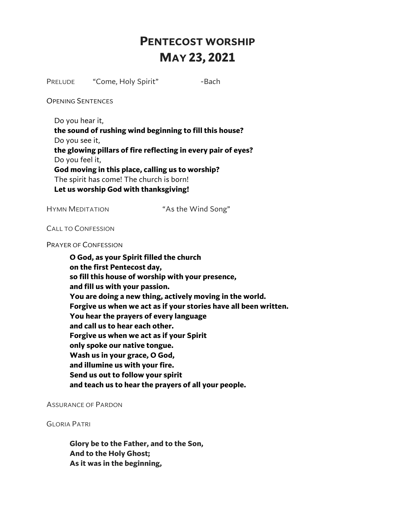# **PENTECOST WORSHIP MAY 23, 2021**

PRELUDE "Come, Holy Spirit" -Bach

OPENING SENTENCES

Do you hear it,

**the sound of rushing wind beginning to fill this house?** 

Do you see it,

**the glowing pillars of fire reflecting in every pair of eyes?**  Do you feel it,

**God moving in this place, calling us to worship?**  The spirit has come! The church is born! **Let us worship God with thanksgiving!**

HYMN MEDITATION "As the Wind Song"

CALL TO CONFESSION

PRAYER OF CONFESSION

**O God, as your Spirit filled the church on the first Pentecost day, so fill this house of worship with your presence, and fill us with your passion. You are doing a new thing, actively moving in the world. Forgive us when we act as if your stories have all been written. You hear the prayers of every language and call us to hear each other. Forgive us when we act as if your Spirit only spoke our native tongue. Wash us in your grace, O God, and illumine us with your fire. Send us out to follow your spirit and teach us to hear the prayers of all your people.**

ASSURANCE OF PARDON

GLORIA PATRI

**Glory be to the Father, and to the Son, And to the Holy Ghost; As it was in the beginning,**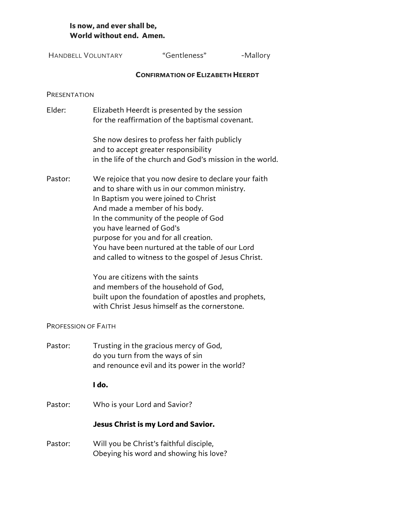# **Is now, and ever shall be, World without end. Amen.**

| <b>HANDBELL VOLUNTARY</b>  |                                                                                                                                                                                                                                                                                                                                                                                                                                                                                                                                                                                              | "Gentleness"                                  | -Mallory |  |
|----------------------------|----------------------------------------------------------------------------------------------------------------------------------------------------------------------------------------------------------------------------------------------------------------------------------------------------------------------------------------------------------------------------------------------------------------------------------------------------------------------------------------------------------------------------------------------------------------------------------------------|-----------------------------------------------|----------|--|
|                            |                                                                                                                                                                                                                                                                                                                                                                                                                                                                                                                                                                                              | <b>CONFIRMATION OF ELIZABETH HEERDT</b>       |          |  |
| PRESENTATION               |                                                                                                                                                                                                                                                                                                                                                                                                                                                                                                                                                                                              |                                               |          |  |
| Elder:                     | Elizabeth Heerdt is presented by the session<br>for the reaffirmation of the baptismal covenant.                                                                                                                                                                                                                                                                                                                                                                                                                                                                                             |                                               |          |  |
|                            | She now desires to profess her faith publicly<br>and to accept greater responsibility<br>in the life of the church and God's mission in the world.                                                                                                                                                                                                                                                                                                                                                                                                                                           |                                               |          |  |
| Pastor:                    | We rejoice that you now desire to declare your faith<br>and to share with us in our common ministry.<br>In Baptism you were joined to Christ<br>And made a member of his body.<br>In the community of the people of God<br>you have learned of God's<br>purpose for you and for all creation.<br>You have been nurtured at the table of our Lord<br>and called to witness to the gospel of Jesus Christ.<br>You are citizens with the saints<br>and members of the household of God,<br>built upon the foundation of apostles and prophets,<br>with Christ Jesus himself as the cornerstone. |                                               |          |  |
| <b>PROFESSION OF FAITH</b> |                                                                                                                                                                                                                                                                                                                                                                                                                                                                                                                                                                                              |                                               |          |  |
| Pastor:                    | Trusting in the gracious mercy of God,<br>do you turn from the ways of sin                                                                                                                                                                                                                                                                                                                                                                                                                                                                                                                   | and renounce evil and its power in the world? |          |  |
|                            | I do.                                                                                                                                                                                                                                                                                                                                                                                                                                                                                                                                                                                        |                                               |          |  |
| Pastor:                    | Who is your Lord and Savior?                                                                                                                                                                                                                                                                                                                                                                                                                                                                                                                                                                 |                                               |          |  |
|                            | Jesus Christ is my Lord and Savior.                                                                                                                                                                                                                                                                                                                                                                                                                                                                                                                                                          |                                               |          |  |
| Pastor:                    | Will you be Christ's faithful disciple,                                                                                                                                                                                                                                                                                                                                                                                                                                                                                                                                                      | Obeying his word and showing his love?        |          |  |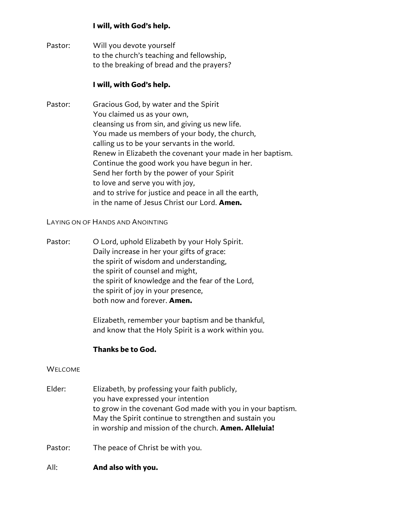# **I will, with God's help.**

Pastor: Will you devote yourself to the church's teaching and fellowship, to the breaking of bread and the prayers?

# **I will, with God's help.**

Pastor: Gracious God, by water and the Spirit You claimed us as your own, cleansing us from sin, and giving us new life. You made us members of your body, the church, calling us to be your servants in the world. Renew in Elizabeth the covenant your made in her baptism. Continue the good work you have begun in her. Send her forth by the power of your Spirit to love and serve you with joy, and to strive for justice and peace in all the earth, in the name of Jesus Christ our Lord. **Amen.**

LAYING ON OF HANDS AND ANOINTING

Pastor: O Lord, uphold Elizabeth by your Holy Spirit. Daily increase in her your gifts of grace: the spirit of wisdom and understanding, the spirit of counsel and might, the spirit of knowledge and the fear of the Lord, the spirit of joy in your presence, both now and forever. **Amen.**

> Elizabeth, remember your baptism and be thankful, and know that the Holy Spirit is a work within you.

# **Thanks be to God.**

## **WELCOME**

- Elder: Elizabeth, by professing your faith publicly, you have expressed your intention to grow in the covenant God made with you in your baptism. May the Spirit continue to strengthen and sustain you in worship and mission of the church. **Amen. Alleluia!**
- Pastor: The peace of Christ be with you.
- All: **And also with you.**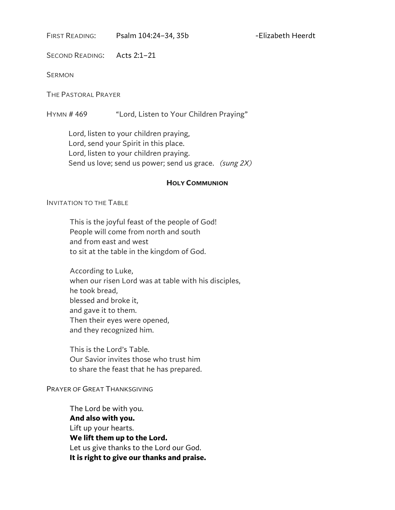FIRST READING: Psalm 104:24-34, 35b -Elizabeth Heerdt

SECOND READING: Acts 2:1–21

**SERMON** 

THE PASTORAL PRAYER

HYMN # 469 "Lord, Listen to Your Children Praying"

 Lord, listen to your children praying, Lord, send your Spirit in this place. Lord, listen to your children praying. Send us love; send us power; send us grace. *(sung 2X)*

#### **HOLY COMMUNION**

#### INVITATION TO THE TABLE

This is the joyful feast of the people of God! People will come from north and south and from east and west to sit at the table in the kingdom of God.

According to Luke, when our risen Lord was at table with his disciples, he took bread, blessed and broke it, and gave it to them. Then their eyes were opened, and they recognized him.

This is the Lord's Table. Our Savior invites those who trust him to share the feast that he has prepared.

#### PRAYER OF GREAT THANKSGIVING

The Lord be with you. **And also with you.**  Lift up your hearts. **We lift them up to the Lord.**  Let us give thanks to the Lord our God. **It is right to give our thanks and praise.**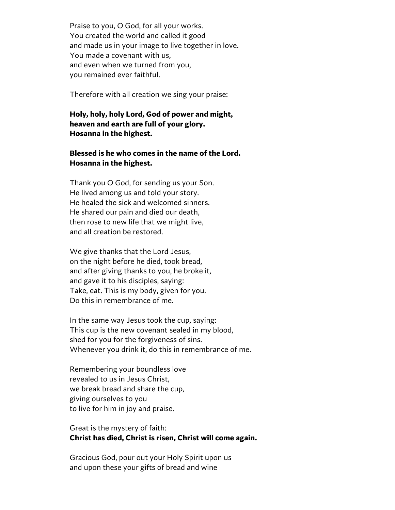Praise to you, O God, for all your works. You created the world and called it good and made us in your image to live together in love. You made a covenant with us, and even when we turned from you, you remained ever faithful.

Therefore with all creation we sing your praise:

### **Holy, holy, holy Lord, God of power and might, heaven and earth are full of your glory. Hosanna in the highest.**

## **Blessed is he who comes in the name of the Lord. Hosanna in the highest.**

Thank you O God, for sending us your Son. He lived among us and told your story. He healed the sick and welcomed sinners. He shared our pain and died our death, then rose to new life that we might live, and all creation be restored.

We give thanks that the Lord Jesus, on the night before he died, took bread, and after giving thanks to you, he broke it, and gave it to his disciples, saying: Take, eat. This is my body, given for you. Do this in remembrance of me.

In the same way Jesus took the cup, saying: This cup is the new covenant sealed in my blood, shed for you for the forgiveness of sins. Whenever you drink it, do this in remembrance of me.

Remembering your boundless love revealed to us in Jesus Christ, we break bread and share the cup, giving ourselves to you to live for him in joy and praise.

# Great is the mystery of faith: **Christ has died, Christ is risen, Christ will come again.**

Gracious God, pour out your Holy Spirit upon us and upon these your gifts of bread and wine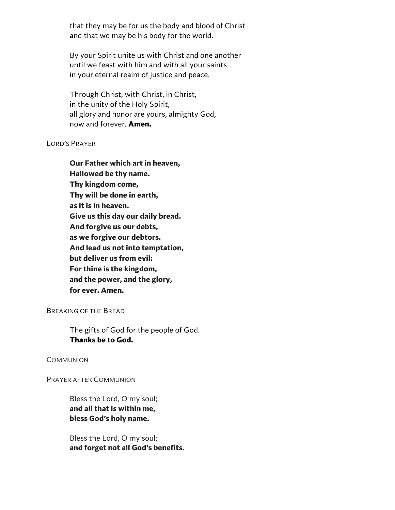that they may be for us the body and blood of Christ and that we may be his body for the world.

By your Spirit unite us with Christ and one another until we feast with him and with all your saints in your eternal realm of justice and peace.

Through Christ, with Christ, in Christ, in the unity of the Holy Spirit, all glory and honor are yours, almighty God, now and forever. **Amen.**

#### LORD'S PRAYER

**Our Father which art in heaven, Hallowed be thy name. Thy kingdom come, Thy will be done in earth, as it is in heaven. Give us this day our daily bread. And forgive us our debts, as we forgive our debtors. And lead us not into temptation, but deliver us from evil: For thine is the kingdom, and the power, and the glory, for ever. Amen.**

BREAKING OF THE BREAD

The gifts of God for the people of God. **Thanks be to God.**

**COMMUNION** 

PRAYER AFTER COMMUNION

Bless the Lord, O my soul; **and all that is within me, bless God's holy name.**

Bless the Lord, O my soul; **and forget not all God's benefits.**